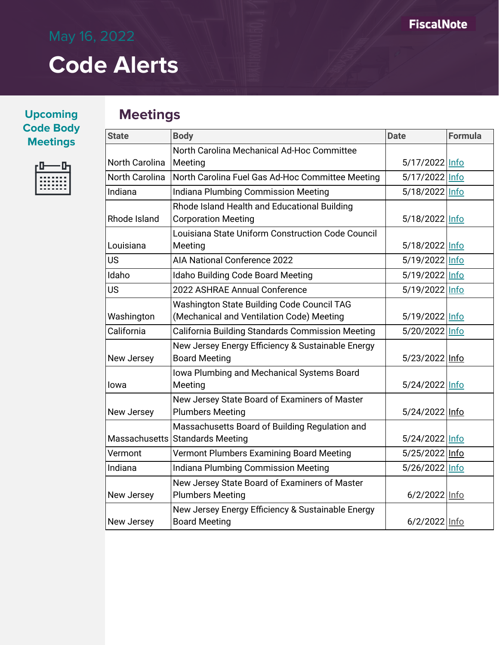**Upcoming Code Body Meetings**



#### **Meetings**

| <b>State</b>          | <b>Body</b>                                       | <b>Date</b>    | <b>Formula</b> |
|-----------------------|---------------------------------------------------|----------------|----------------|
|                       | North Carolina Mechanical Ad-Hoc Committee        |                |                |
| North Carolina        | Meeting                                           | 5/17/2022 Info |                |
| <b>North Carolina</b> | North Carolina Fuel Gas Ad-Hoc Committee Meeting  | 5/17/2022 Info |                |
| Indiana               | Indiana Plumbing Commission Meeting               | 5/18/2022 Info |                |
|                       | Rhode Island Health and Educational Building      |                |                |
| Rhode Island          | <b>Corporation Meeting</b>                        | 5/18/2022 Info |                |
|                       | Louisiana State Uniform Construction Code Council |                |                |
| Louisiana             | Meeting                                           | 5/18/2022 Info |                |
| <b>US</b>             | <b>AIA National Conference 2022</b>               | 5/19/2022 Info |                |
| Idaho                 | Idaho Building Code Board Meeting                 | 5/19/2022 Info |                |
| <b>US</b>             | 2022 ASHRAE Annual Conference                     | 5/19/2022 Info |                |
|                       | Washington State Building Code Council TAG        |                |                |
| Washington            | (Mechanical and Ventilation Code) Meeting         | 5/19/2022 Info |                |
| California            | California Building Standards Commission Meeting  | 5/20/2022 Info |                |
|                       | New Jersey Energy Efficiency & Sustainable Energy |                |                |
| New Jersey            | <b>Board Meeting</b>                              | 5/23/2022 Info |                |
|                       | Iowa Plumbing and Mechanical Systems Board        |                |                |
| lowa                  | Meeting                                           | 5/24/2022 Info |                |
|                       | New Jersey State Board of Examiners of Master     |                |                |
| New Jersey            | <b>Plumbers Meeting</b>                           | 5/24/2022 Info |                |
|                       | Massachusetts Board of Building Regulation and    |                |                |
|                       | Massachusetts Standards Meeting                   | 5/24/2022 Info |                |
| Vermont               | Vermont Plumbers Examining Board Meeting          | 5/25/2022 Info |                |
| Indiana               | Indiana Plumbing Commission Meeting               | 5/26/2022 Info |                |
|                       | New Jersey State Board of Examiners of Master     |                |                |
| New Jersey            | <b>Plumbers Meeting</b>                           | 6/2/2022 Info  |                |
|                       | New Jersey Energy Efficiency & Sustainable Energy |                |                |
| New Jersey            | <b>Board Meeting</b>                              | 6/2/2022 Info  |                |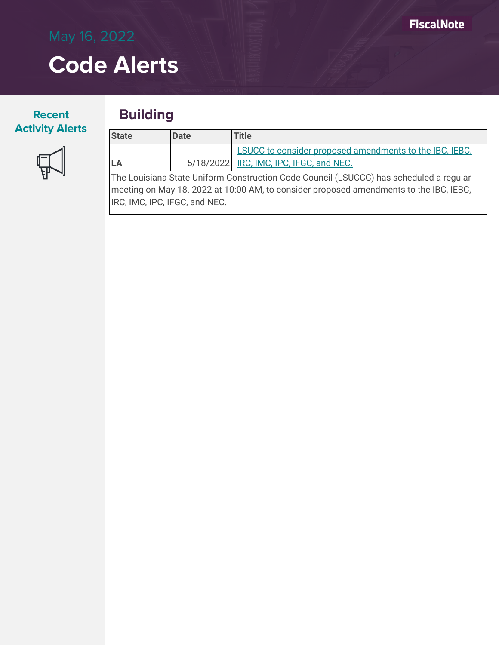#### **Recent Activity Alerts**

#### **Building**



| <b>State</b>                                                                           | <b>Date</b> | Title                                                   |  |
|----------------------------------------------------------------------------------------|-------------|---------------------------------------------------------|--|
|                                                                                        |             | LSUCC to consider proposed amendments to the IBC, IEBC, |  |
| <b>LA</b>                                                                              |             | 5/18/2022 IRC, IMC, IPC, IFGC, and NEC.                 |  |
| The Louisiana State Uniform Construction Code Council (LSUCCC) has scheduled a regular |             |                                                         |  |

meeting on May 18. 2022 at 10:00 AM, to consider proposed amendments to the IBC, IEBC, IRC, IMC, IPC, IFGC, and NEC.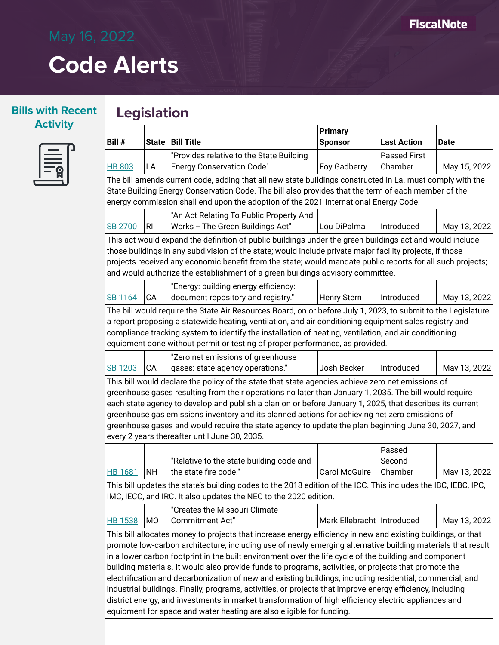#### **Bills with Recent Activity**

### **Legislation**



| Bill #                                                                                                                                                                                                                |                | State   Bill Title                                                                                                                                   | <b>Primary</b><br><b>Sponsor</b> | <b>Last Action</b>  | <b>Date</b>  |
|-----------------------------------------------------------------------------------------------------------------------------------------------------------------------------------------------------------------------|----------------|------------------------------------------------------------------------------------------------------------------------------------------------------|----------------------------------|---------------------|--------------|
|                                                                                                                                                                                                                       |                | "Provides relative to the State Building                                                                                                             |                                  | <b>Passed First</b> |              |
| <b>HB 803</b>                                                                                                                                                                                                         | LA             | <b>Energy Conservation Code"</b>                                                                                                                     | Foy Gadberry                     | Chamber             | May 15, 2022 |
|                                                                                                                                                                                                                       |                | The bill amends current code, adding that all new state buildings constructed in La. must comply with the                                            |                                  |                     |              |
|                                                                                                                                                                                                                       |                | State Building Energy Conservation Code. The bill also provides that the term of each member of the                                                  |                                  |                     |              |
|                                                                                                                                                                                                                       |                | energy commission shall end upon the adoption of the 2021 International Energy Code.                                                                 |                                  |                     |              |
|                                                                                                                                                                                                                       |                | "An Act Relating To Public Property And                                                                                                              |                                  |                     |              |
| <b>SB 2700</b>                                                                                                                                                                                                        | RI             | Works -- The Green Buildings Act"                                                                                                                    | Lou DiPalma                      | Introduced          | May 13, 2022 |
|                                                                                                                                                                                                                       |                | This act would expand the definition of public buildings under the green buildings act and would include                                             |                                  |                     |              |
|                                                                                                                                                                                                                       |                | those buildings in any subdivision of the state; would include private major facility projects, if those                                             |                                  |                     |              |
|                                                                                                                                                                                                                       |                | projects received any economic benefit from the state; would mandate public reports for all such projects;                                           |                                  |                     |              |
|                                                                                                                                                                                                                       |                | and would authorize the establishment of a green buildings advisory committee.                                                                       |                                  |                     |              |
|                                                                                                                                                                                                                       |                | "Energy: building energy efficiency:                                                                                                                 |                                  |                     |              |
| SB 1164                                                                                                                                                                                                               | CA             | document repository and registry."                                                                                                                   | Henry Stern                      | Introduced          | May 13, 2022 |
|                                                                                                                                                                                                                       |                | The bill would require the State Air Resources Board, on or before July 1, 2023, to submit to the Legislature                                        |                                  |                     |              |
|                                                                                                                                                                                                                       |                | a report proposing a statewide heating, ventilation, and air conditioning equipment sales registry and                                               |                                  |                     |              |
|                                                                                                                                                                                                                       |                | compliance tracking system to identify the installation of heating, ventilation, and air conditioning                                                |                                  |                     |              |
|                                                                                                                                                                                                                       |                | equipment done without permit or testing of proper performance, as provided.                                                                         |                                  |                     |              |
|                                                                                                                                                                                                                       |                | "Zero net emissions of greenhouse                                                                                                                    |                                  |                     |              |
| <b>SB 1203</b>                                                                                                                                                                                                        | CA             | gases: state agency operations."                                                                                                                     | Josh Becker                      | Introduced          | May 13, 2022 |
|                                                                                                                                                                                                                       |                | This bill would declare the policy of the state that state agencies achieve zero net emissions of                                                    |                                  |                     |              |
|                                                                                                                                                                                                                       |                | greenhouse gases resulting from their operations no later than January 1, 2035. The bill would require                                               |                                  |                     |              |
|                                                                                                                                                                                                                       |                | each state agency to develop and publish a plan on or before January 1, 2025, that describes its current                                             |                                  |                     |              |
|                                                                                                                                                                                                                       |                | greenhouse gas emissions inventory and its planned actions for achieving net zero emissions of                                                       |                                  |                     |              |
|                                                                                                                                                                                                                       |                | greenhouse gases and would require the state agency to update the plan beginning June 30, 2027, and<br>every 2 years thereafter until June 30, 2035. |                                  |                     |              |
|                                                                                                                                                                                                                       |                |                                                                                                                                                      |                                  | Passed              |              |
|                                                                                                                                                                                                                       |                | "Relative to the state building code and                                                                                                             |                                  | Second              |              |
| <b>HB 1681</b>                                                                                                                                                                                                        | <b>NH</b>      | the state fire code."                                                                                                                                | <b>Carol McGuire</b>             | Chamber             | May 13, 2022 |
|                                                                                                                                                                                                                       |                | This bill updates the state's building codes to the 2018 edition of the ICC. This includes the IBC, IEBC, IPC,                                       |                                  |                     |              |
|                                                                                                                                                                                                                       |                | IMC, IECC, and IRC. It also updates the NEC to the 2020 edition.                                                                                     |                                  |                     |              |
|                                                                                                                                                                                                                       |                | "Creates the Missouri Climate                                                                                                                        |                                  |                     |              |
| <b>HB 1538</b>                                                                                                                                                                                                        | M <sub>O</sub> | Commitment Act"                                                                                                                                      | Mark Ellebracht   Introduced     |                     | May 13, 2022 |
|                                                                                                                                                                                                                       |                | This bill allocates money to projects that increase energy efficiency in new and existing buildings, or that                                         |                                  |                     |              |
|                                                                                                                                                                                                                       |                |                                                                                                                                                      |                                  |                     |              |
| promote low-carbon architecture, including use of newly emerging alternative building materials that result<br>in a lower carbon footprint in the built environment over the life cycle of the building and component |                |                                                                                                                                                      |                                  |                     |              |
| building materials. It would also provide funds to programs, activities, or projects that promote the                                                                                                                 |                |                                                                                                                                                      |                                  |                     |              |
| electrification and decarbonization of new and existing buildings, including residential, commercial, and                                                                                                             |                |                                                                                                                                                      |                                  |                     |              |
| industrial buildings. Finally, programs, activities, or projects that improve energy efficiency, including                                                                                                            |                |                                                                                                                                                      |                                  |                     |              |
|                                                                                                                                                                                                                       |                | district energy, and investments in market transformation of high efficiency electric appliances and                                                 |                                  |                     |              |
| equipment for space and water heating are also eligible for funding.                                                                                                                                                  |                |                                                                                                                                                      |                                  |                     |              |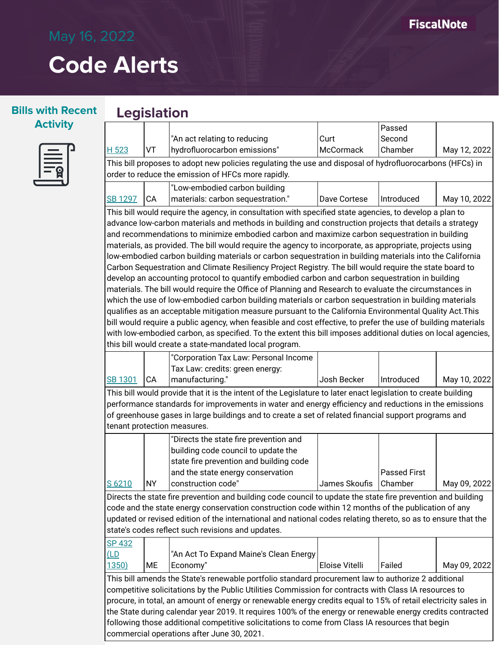#### **Bills with Recent Legislation Activity**

| <b>Service Service</b> |  |
|------------------------|--|
|                        |  |

|                                                                                                               |                                            |                                                                                                                |                         | Passed              |              |
|---------------------------------------------------------------------------------------------------------------|--------------------------------------------|----------------------------------------------------------------------------------------------------------------|-------------------------|---------------------|--------------|
|                                                                                                               |                                            | "An act relating to reducing                                                                                   | Curt                    | Second              |              |
| H 523                                                                                                         | VT                                         | hydrofluorocarbon emissions"                                                                                   | McCormack               | Chamber             | May 12, 2022 |
|                                                                                                               |                                            | This bill proposes to adopt new policies regulating the use and disposal of hydrofluorocarbons (HFCs) in       |                         |                     |              |
|                                                                                                               |                                            | order to reduce the emission of HFCs more rapidly.                                                             |                         |                     |              |
|                                                                                                               |                                            | "Low-embodied carbon building                                                                                  |                         |                     |              |
| <b>SB 1297</b>                                                                                                | CA                                         | materials: carbon sequestration."                                                                              | Dave Cortese            | Introduced          | May 10, 2022 |
|                                                                                                               |                                            | This bill would require the agency, in consultation with specified state agencies, to develop a plan to        |                         |                     |              |
|                                                                                                               |                                            | advance low-carbon materials and methods in building and construction projects that details a strategy         |                         |                     |              |
|                                                                                                               |                                            | and recommendations to minimize embodied carbon and maximize carbon sequestration in building                  |                         |                     |              |
|                                                                                                               |                                            | materials, as provided. The bill would require the agency to incorporate, as appropriate, projects using       |                         |                     |              |
|                                                                                                               |                                            | low-embodied carbon building materials or carbon sequestration in building materials into the California       |                         |                     |              |
|                                                                                                               |                                            | Carbon Sequestration and Climate Resiliency Project Registry. The bill would require the state board to        |                         |                     |              |
|                                                                                                               |                                            | develop an accounting protocol to quantify embodied carbon and carbon sequestration in building                |                         |                     |              |
|                                                                                                               |                                            | materials. The bill would require the Office of Planning and Research to evaluate the circumstances in         |                         |                     |              |
|                                                                                                               |                                            | which the use of low-embodied carbon building materials or carbon sequestration in building materials          |                         |                     |              |
|                                                                                                               |                                            | qualifies as an acceptable mitigation measure pursuant to the California Environmental Quality Act. This       |                         |                     |              |
|                                                                                                               |                                            | bill would require a public agency, when feasible and cost effective, to prefer the use of building materials  |                         |                     |              |
|                                                                                                               |                                            | with low-embodied carbon, as specified. To the extent this bill imposes additional duties on local agencies,   |                         |                     |              |
|                                                                                                               |                                            | this bill would create a state-mandated local program.                                                         |                         |                     |              |
|                                                                                                               |                                            | "Corporation Tax Law: Personal Income                                                                          |                         |                     |              |
|                                                                                                               |                                            | Tax Law: credits: green energy:                                                                                |                         |                     |              |
| SB 1301                                                                                                       | CA                                         | manufacturing."                                                                                                | Josh Becker             | Introduced          | May 10, 2022 |
|                                                                                                               |                                            | This bill would provide that it is the intent of the Legislature to later enact legislation to create building |                         |                     |              |
|                                                                                                               |                                            | performance standards for improvements in water and energy efficiency and reductions in the emissions          |                         |                     |              |
|                                                                                                               |                                            | of greenhouse gases in large buildings and to create a set of related financial support programs and           |                         |                     |              |
|                                                                                                               |                                            | tenant protection measures.                                                                                    |                         |                     |              |
|                                                                                                               |                                            | "Directs the state fire prevention and                                                                         |                         |                     |              |
|                                                                                                               |                                            | building code council to update the                                                                            |                         |                     |              |
|                                                                                                               |                                            | state fire prevention and building code                                                                        |                         |                     |              |
|                                                                                                               |                                            | and the state energy conservation                                                                              |                         | <b>Passed First</b> |              |
| S 6210                                                                                                        | <b>NY</b>                                  | construction code"                                                                                             | James Skoufis   Chamber |                     | May 09, 2022 |
|                                                                                                               |                                            | Directs the state fire prevention and building code council to update the state fire prevention and building   |                         |                     |              |
| code and the state energy conservation construction code within 12 months of the publication of any           |                                            |                                                                                                                |                         |                     |              |
| updated or revised edition of the international and national codes relating thereto, so as to ensure that the |                                            |                                                                                                                |                         |                     |              |
| state's codes reflect such revisions and updates.                                                             |                                            |                                                                                                                |                         |                     |              |
| SP 432                                                                                                        |                                            |                                                                                                                |                         |                     |              |
| $L_{D}$                                                                                                       |                                            | "An Act To Expand Maine's Clean Energy                                                                         |                         |                     |              |
| <u>1350)</u>                                                                                                  | ME                                         | Economy"                                                                                                       | Eloise Vitelli          | Failed              | May 09, 2022 |
|                                                                                                               |                                            | This bill amends the State's renewable portfolio standard procurement law to authorize 2 additional            |                         |                     |              |
| competitive solicitations by the Public Utilities Commission for contracts with Class IA resources to         |                                            |                                                                                                                |                         |                     |              |
|                                                                                                               |                                            | procure, in total, an amount of energy or renewable energy credits equal to 15% of retail electricity sales in |                         |                     |              |
|                                                                                                               |                                            | the State during calendar year 2019. It requires 100% of the energy or renewable energy credits contracted     |                         |                     |              |
|                                                                                                               |                                            | following those additional competitive solicitations to come from Class IA resources that begin                |                         |                     |              |
|                                                                                                               | commercial operations after June 30, 2021. |                                                                                                                |                         |                     |              |